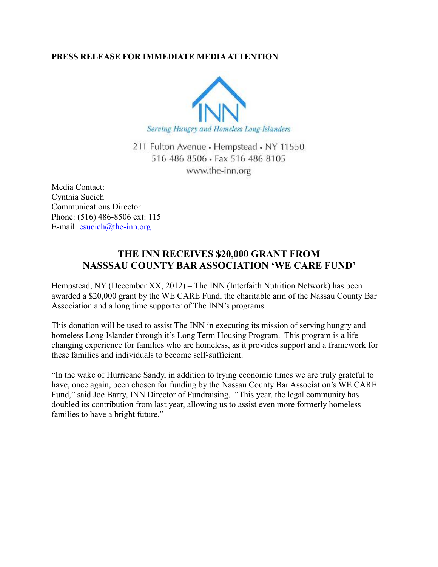## **PRESS RELEASE FOR IMMEDIATE MEDIA ATTENTION**



211 Fulton Avenue · Hempstead · NY 11550 516 486 8506 · Fax 516 486 8105 www.the-inn.org

Media Contact: Cynthia Sucich Communications Director Phone: (516) 486-8506 ext: 115 E-mail:  $\text{csuch}(a)$ the-inn.org

## **THE INN RECEIVES \$20,000 GRANT FROM NASSSAU COUNTY BAR ASSOCIATION 'WE CARE FUND'**

Hempstead, NY (December XX, 2012) – The INN (Interfaith Nutrition Network) has been awarded a \$20,000 grant by the WE CARE Fund, the charitable arm of the Nassau County Bar Association and a long time supporter of The INN's programs.

This donation will be used to assist The INN in executing its mission of serving hungry and homeless Long Islander through it's Long Term Housing Program. This program is a life changing experience for families who are homeless, as it provides support and a framework for these families and individuals to become self-sufficient.

"In the wake of Hurricane Sandy, in addition to trying economic times we are truly grateful to have, once again, been chosen for funding by the Nassau County Bar Association's WE CARE Fund," said Joe Barry, INN Director of Fundraising. "This year, the legal community has doubled its contribution from last year, allowing us to assist even more formerly homeless families to have a bright future."